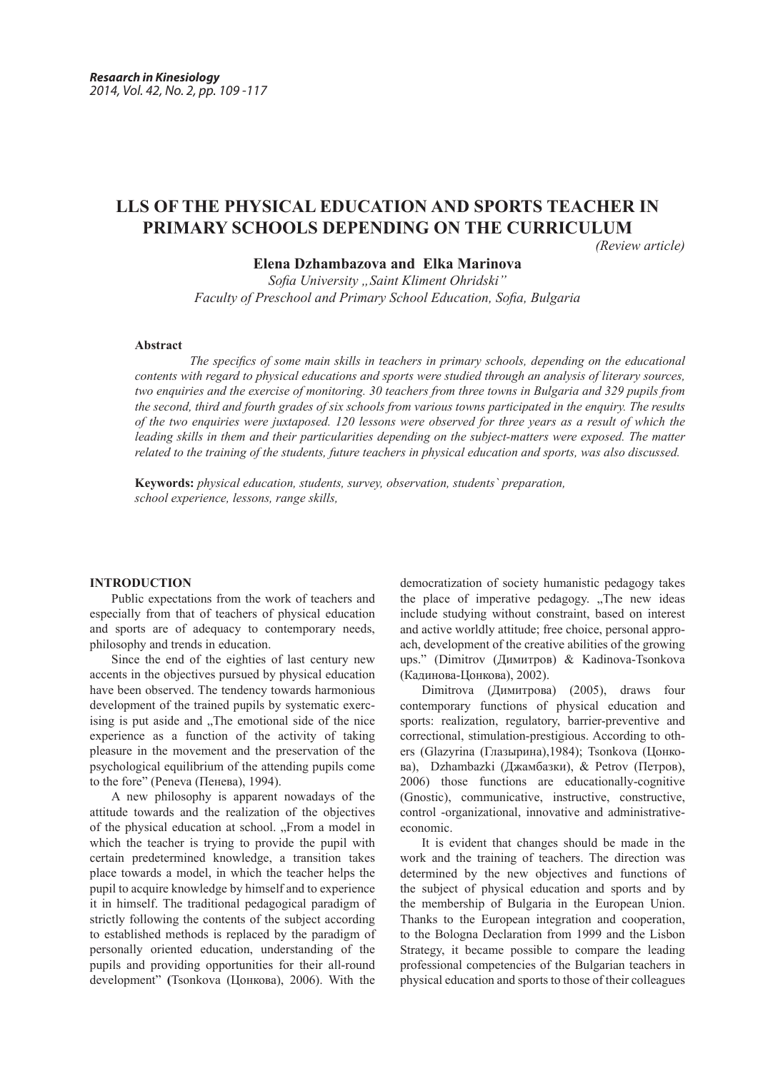# **LLS OF THE PHYSICAL EDUCATION AND SPORTS TEACHER IN PRIMARY SCHOOLS DEPENDING ON THE CURRICULUM**

*(Review article)*

**Elena Dzhambazova and Elka Marinova**

*Sofia University "Saint Kliment Ohridski" Faculty of Preschool and Primary School Education, Sofia, Bulgaria*

# **Abstract**

 *The specifics of some main skills in teachers in primary schools, depending on the educational contents with regard to physical educations and sports were studied through an analysis of literary sources, two enquiries and the exercise of monitoring. 30 teachers from three towns in Bulgaria and 329 pupils from the second, third and fourth grades of six schools from various towns participated in the enquiry. The results of the two enquiries were juxtaposed. 120 lessons were observed for three years as a result of which the leading skills in them and their particularities depending on the subject-matters were exposed. The matter related to the training of the students, future teachers in physical education and sports, was also discussed.* 

**Keywords:** *physical education, students, survey, observation, students` preparation, school experience, lessons, range skills,* 

## **INTRODUCTION**

Public expectations from the work of teachers and especially from that of teachers of physical education and sports are of adequacy to contemporary needs, philosophy and trends in education.

Since the end of the eighties of last century new accents in the objectives pursued by physical education have been observed. The tendency towards harmonious development of the trained pupils by systematic exercising is put aside and . The emotional side of the nice experience as a function of the activity of taking pleasure in the movement and the preservation of the psychological equilibrium of the attending pupils come to the fore" (Peneva (Пенева), 1994).

A new philosophy is apparent nowadays of the attitude towards and the realization of the objectives of the physical education at school. "From a model in which the teacher is trying to provide the pupil with certain predetermined knowledge, a transition takes place towards a model, in which the teacher helps the pupil to acquire knowledge by himself and to experience it in himself. The traditional pedagogical paradigm of strictly following the contents of the subject according to established methods is replaced by the paradigm of personally oriented education, understanding of the pupils and providing opportunities for their all-round development" **(**Tsonkova (Цонкова), 2006). With the democratization of society humanistic pedagogy takes the place of imperative pedagogy. "The new ideas" include studying without constraint, based on interest and active worldly attitude; free choice, personal approach, development of the creative abilities of the growing ups." (Dimitrov (Димитров) & Kadinova-Tsonkova (Кадинова-Цонкова), 2002).

Dimitrova (Димитрова) (2005), draws four contemporary functions of physical education and sports: realization, regulatory, barrier-preventive and correctional, stimulation-prestigious. According to others (Glazyrina (Глазырина),1984); Tsonkova (Цонкова), Dzhambazki (Джамбазки), & Petrov (Петров), 2006) those functions are educationally-cognitive (Gnostic), communicative, instructive, constructive, control -organizational, innovative and administrativeeconomic.

It is evident that changes should be made in the work and the training of teachers. The direction was determined by the new objectives and functions of the subject of physical education and sports and by the membership of Bulgaria in the European Union. Thanks to the European integration and cooperation, to the Bologna Declaration from 1999 and the Lisbon Strategy, it became possible to compare the leading professional competencies of the Bulgarian teachers in physical education and sports to those of their colleagues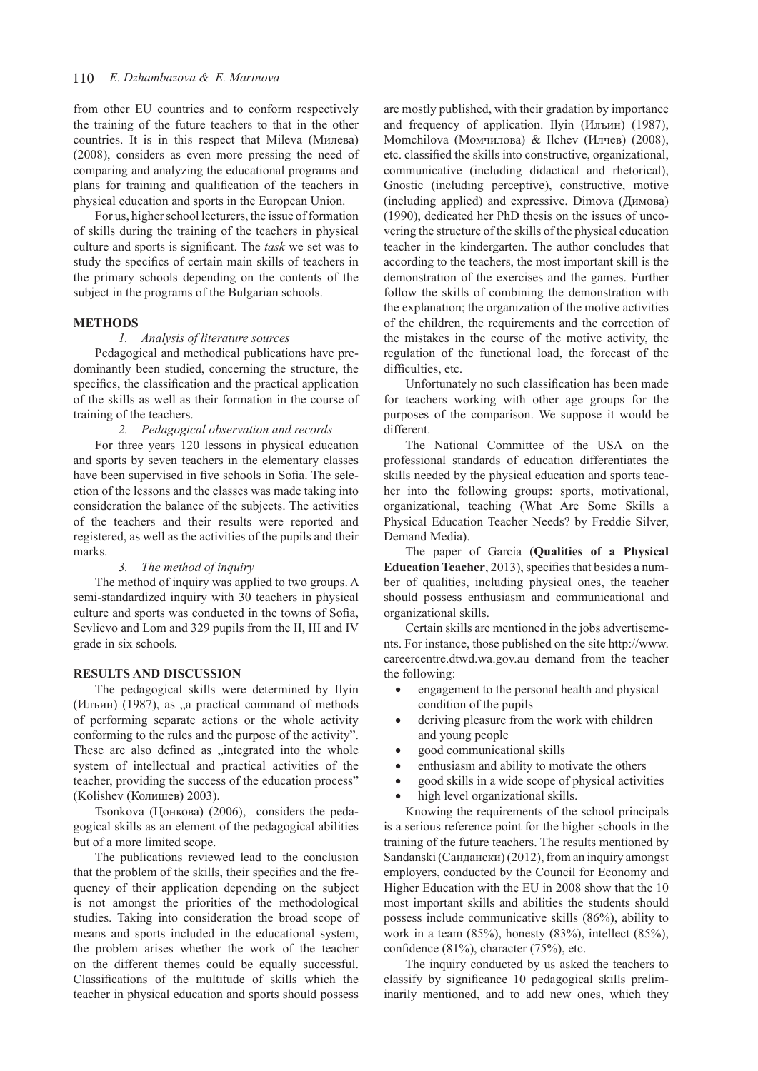from other EU countries and to conform respectively the training of the future teachers to that in the other countries. It is in this respect that Mileva (Милева) (2008), considers as even more pressing the need of comparing and analyzing the educational programs and plans for training and qualification of the teachers in physical education and sports in the European Union.

For us, higher school lecturers, the issue of formation of skills during the training of the teachers in physical culture and sports is significant. The *task* we set was to study the specifics of certain main skills of teachers in the primary schools depending on the contents of the subject in the programs of the Bulgarian schools.

#### **METHODS**

#### *1. Analysis of literature sources*

Pedagogical and methodical publications have predominantly been studied, concerning the structure, the specifics, the classification and the practical application of the skills as well as their formation in the course of training of the teachers.

*2. Pedagogical observation and records*

For three years 120 lessons in physical education and sports by seven teachers in the elementary classes have been supervised in five schools in Sofia. The selection of the lessons and the classes was made taking into consideration the balance of the subjects. The activities of the teachers and their results were reported and registered, as well as the activities of the pupils and their marks.

## *3. The method of inquiry*

The method of inquiry was applied to two groups. A semi-standardized inquiry with 30 teachers in physical culture and sports was conducted in the towns of Sofia, Sevlievo and Lom and 329 pupils from the II, III and IV grade in six schools.

### **RESULTS AND DISCUSSION**

The pedagogical skills were determined by Ilyin (Илъин) (1987), as "a practical command of methods of performing separate actions or the whole activity conforming to the rules and the purpose of the activity". These are also defined as "integrated into the whole system of intellectual and practical activities of the teacher, providing the success of the education process" (Kolishev (Колишев) 2003).

Tsonkova (Цонкова) (2006), considers the pedagogical skills as an element of the pedagogical abilities but of a more limited scope.

The publications reviewed lead to the conclusion that the problem of the skills, their specifics and the frequency of their application depending on the subject is not amongst the priorities of the methodological studies. Taking into consideration the broad scope of means and sports included in the educational system, the problem arises whether the work of the teacher on the different themes could be equally successful. Classifications of the multitude of skills which the teacher in physical education and sports should possess

are mostly published, with their gradation by importance and frequency of application. Ilyin (Илъин) (1987), Momchilova (Момчилова) & Ilchev (Илчев) (2008), etc. classified the skills into constructive, organizational, communicative (including didactical and rhetorical), Gnostic (including perceptive), constructive, motive (including applied) and expressive. Dimova (Димова) (1990), dedicated her PhD thesis on the issues of uncovering the structure of the skills of the physical education teacher in the kindergarten. The author concludes that according to the teachers, the most important skill is the demonstration of the exercises and the games. Further follow the skills of combining the demonstration with the explanation; the organization of the motive activities of the children, the requirements and the correction of the mistakes in the course of the motive activity, the regulation of the functional load, the forecast of the difficulties, etc.

Unfortunately no such classification has been made for teachers working with other age groups for the purposes of the comparison. We suppose it would be different.

The National Committee of the USA on the professional standards of education differentiates the skills needed by the physical education and sports teacher into the following groups: sports, motivational, organizational, teaching (What Are Some Skills a Physical Education Teacher Needs? by Freddie Silver, Demand Media).

The paper of Garcia (**Qualities of a Physical Education Teacher**, 2013), specifies that besides a number of qualities, including physical ones, the teacher should possess enthusiasm and communicational and organizational skills.

Certain skills are mentioned in the jobs advertisements. For instance, those published on the site http://www. careercentre.dtwd.wa.gov.au demand from the teacher the following:

- engagement to the personal health and physical condition of the pupils
- deriving pleasure from the work with children and young people
- good communicational skills
- enthusiasm and ability to motivate the others
- good skills in a wide scope of physical activities
- high level organizational skills.

Knowing the requirements of the school principals is a serious reference point for the higher schools in the training of the future teachers. The results mentioned by Sandanski(Сандански) (2012), from an inquiry amongst employers, conducted by the Council for Economy and Higher Education with the EU in 2008 show that the 10 most important skills and abilities the students should possess include communicative skills (86%), ability to work in a team (85%), honesty (83%), intellect (85%), confidence (81%), character (75%), etc.

The inquiry conducted by us asked the teachers to classify by significance 10 pedagogical skills preliminarily mentioned, and to add new ones, which they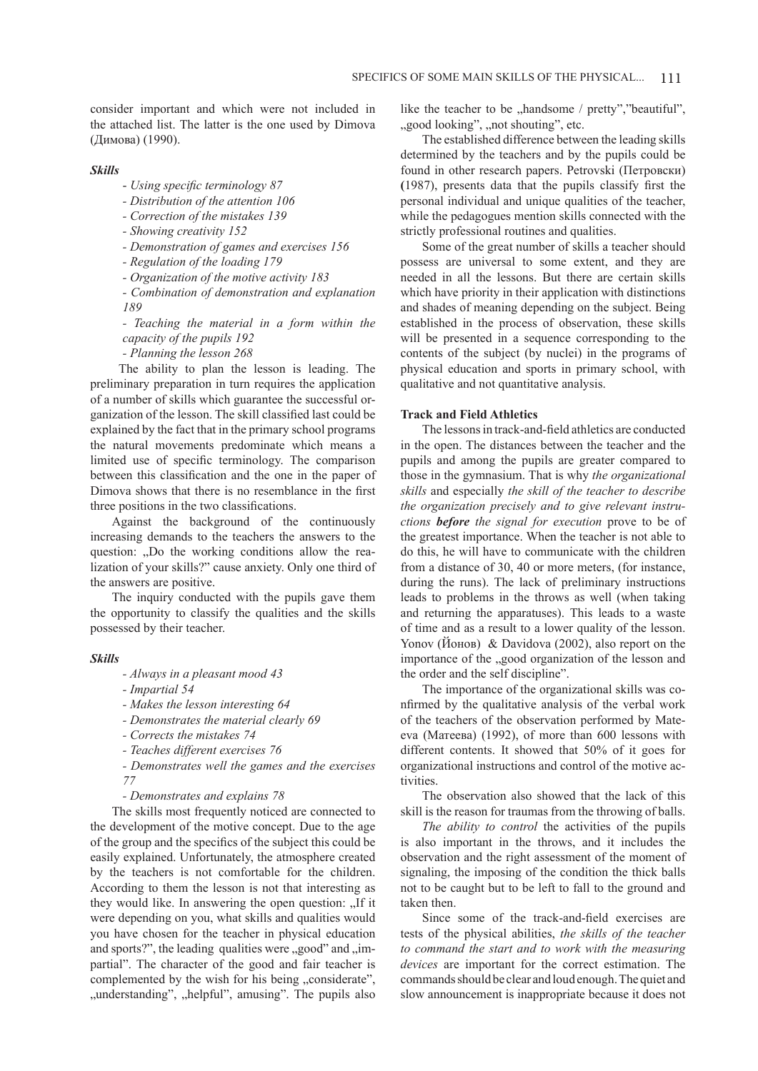consider important and which were not included in the attached list. The latter is the one used by Dimova (Димова) (1990).

## *Skills*

- *Using specific terminology 87*
- *Distribution of the attention 106*
- *Correction of the mistakes 139*
- *Showing creativity 152*
- *Demonstration of games and exercises 156*
- *Regulation of the loading 179*
- *Organization of the motive activity 183*
- *Combination of demonstration and explanation 189*
- *Teaching the material in a form within the capacity of the pupils 192*
- *Planning the lesson 268*

The ability to plan the lesson is leading. The preliminary preparation in turn requires the application of a number of skills which guarantee the successful organization of the lesson. The skill classified last could be explained by the fact that in the primary school programs the natural movements predominate which means a limited use of specific terminology. The comparison between this classification and the one in the paper of Dimova shows that there is no resemblance in the first three positions in the two classifications.

Against the background of the continuously increasing demands to the teachers the answers to the question: ..Do the working conditions allow the realization of your skills?" cause anxiety. Only one third of the answers are positive.

The inquiry conducted with the pupils gave them the opportunity to classify the qualities and the skills possessed by their teacher.

## *Skills*

- *Always in a pleasant mood 43*
- *Impartial 54*
- *Makes the lesson interesting 64*
- *Demonstrates the material clearly 69*
- *Corrects the mistakes 74*
- *Teaches different exercises 76*

*- Demonstrates well the games and the exercises 77*

*- Demonstrates and explains 78*

The skills most frequently noticed are connected to the development of the motive concept. Due to the age of the group and the specifics of the subject this could be easily explained. Unfortunately, the atmosphere created by the teachers is not comfortable for the children. According to them the lesson is not that interesting as they would like. In answering the open question: ...If it were depending on you, what skills and qualities would you have chosen for the teacher in physical education and sports?", the leading qualities were  $\alpha$  good" and  $\beta$ partial". The character of the good and fair teacher is complemented by the wish for his being "considerate", "understanding", "helpful", amusing". The pupils also like the teacher to be  $n$ , handsome / pretty", "beautiful", ", good looking", "not shouting", etc.

The established difference between the leading skills determined by the teachers and by the pupils could be found in other research papers. Petrovski (Петровски) **(**1987), presents data that the pupils classify first the personal individual and unique qualities of the teacher, while the pedagogues mention skills connected with the strictly professional routines and qualities.

Some of the great number of skills a teacher should possess are universal to some extent, and they are needed in all the lessons. But there are certain skills which have priority in their application with distinctions and shades of meaning depending on the subject. Being established in the process of observation, these skills will be presented in a sequence corresponding to the contents of the subject (by nuclei) in the programs of physical education and sports in primary school, with qualitative and not quantitative analysis.

# **Track and Field Athletics**

The lessonsin track-and-field athletics are conducted in the open. The distances between the teacher and the pupils and among the pupils are greater compared to those in the gymnasium. That is why *the organizational skills* and especially *the skill of the teacher to describe the organization precisely and to give relevant instructions before the signal for execution* prove to be of the greatest importance. When the teacher is not able to do this, he will have to communicate with the children from a distance of 30, 40 or more meters, (for instance, during the runs). The lack of preliminary instructions leads to problems in the throws as well (when taking and returning the apparatuses). This leads to a waste of time and as a result to a lower quality of the lesson. Yonov (Йонов) & Davidova (2002), also report on the importance of the "good organization of the lesson and the order and the self discipline".

The importance of the organizational skills was confirmed by the qualitative analysis of the verbal work of the teachers of the observation performed by Mateeva (Матеева) (1992), of more than 600 lessons with different contents. It showed that 50% оf it goes for organizational instructions and control of the motive activities.

The observation also showed that the lack of this skill is the reason for traumas from the throwing of balls.

*The ability to control* the activities of the pupils is also important in the throws, and it includes the observation and the right assessment of the moment of signaling, the imposing of the condition the thick balls not to be caught but to be left to fall to the ground and taken then.

Since some of the track-and-field exercises are tests of the physical abilities, *the skills of the teacher to command the start and to work with the measuring devices* are important for the correct estimation. The commands should be clear and loud enough. The quiet and slow announcement is inappropriate because it does not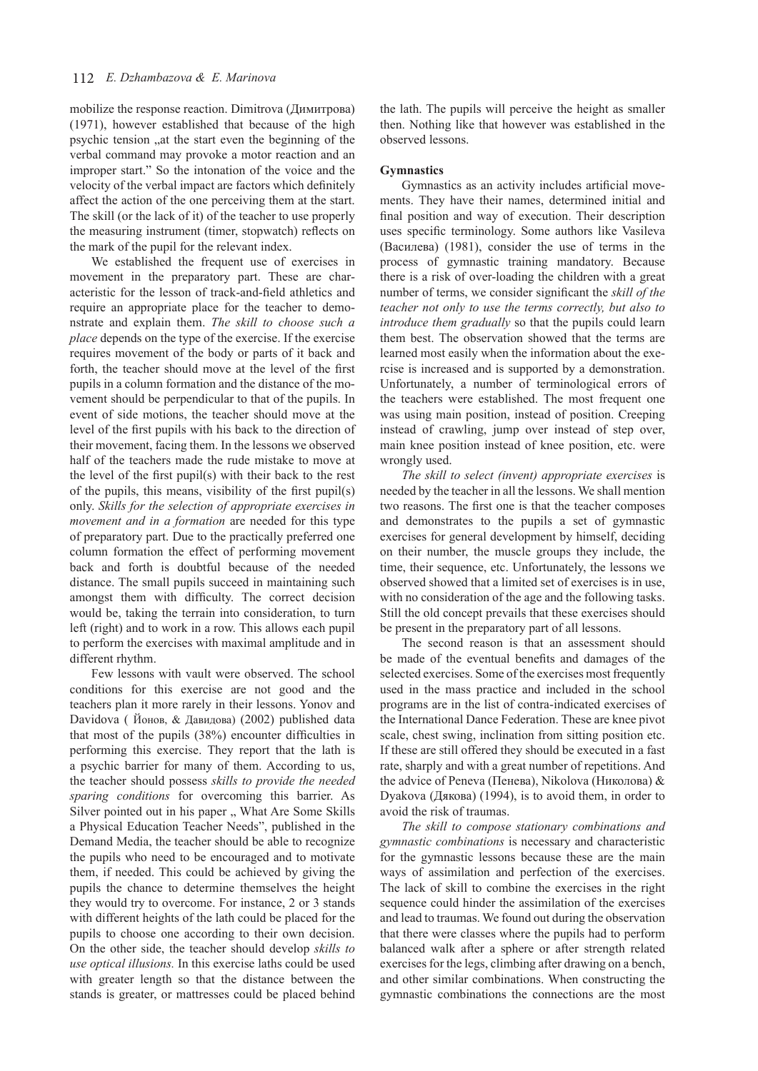mobilize the response reaction. Dimitrova (Димитрова) (1971), however established that because of the high psychic tension , at the start even the beginning of the verbal command may provoke a motor reaction and an improper start." So the intonation of the voice and the velocity of the verbal impact are factors which definitely affect the action of the one perceiving them at the start. The skill (or the lack of it) of the teacher to use properly the measuring instrument (timer, stopwatch) reflects on the mark of the pupil for the relevant index.

We established the frequent use of exercises in movement in the preparatory part. These are characteristic for the lesson of track-and-field athletics and require an appropriate place for the teacher to demonstrate and explain them. *The skill to choose such a place* depends on the type of the exercise. If the exercise requires movement of the body or parts of it back and forth, the teacher should move at the level of the first pupils in a column formation and the distance of the movement should be perpendicular to that of the pupils. In event of side motions, the teacher should move at the level of the first pupils with his back to the direction of their movement, facing them. In the lessons we observed half of the teachers made the rude mistake to move at the level of the first pupil(s) with their back to the rest of the pupils, this means, visibility of the first pupil(s) only. *Skills for the selection of appropriate exercises in movement and in a formation* are needed for this type of preparatory part. Due to the practically preferred one column formation the effect of performing movement back and forth is doubtful because of the needed distance. The small pupils succeed in maintaining such amongst them with difficulty. The correct decision would be, taking the terrain into consideration, to turn left (right) and to work in a row. This allows each pupil to perform the exercises with maximal amplitude and in different rhythm.

Few lessons with vault were observed. The school conditions for this exercise are not good and the teachers plan it more rarely in their lessons. Yonov and Davidova ( Йонов, & Давидова) (2002) published data that most of the pupils (38%) encounter difficulties in performing this exercise. They report that the lath is a psychic barrier for many of them. According to us, the teacher should possess *skills to provide the needed sparing conditions* for overcoming this barrier. As Silver pointed out in his paper ,, What Are Some Skills a Physical Education Teacher Needs", published in the Demand Media, the teacher should be able to recognize the pupils who need to be encouraged and to motivate them, if needed. This could be achieved by giving the pupils the chance to determine themselves the height they would try to overcome. For instance, 2 or 3 stands with different heights of the lath could be placed for the pupils to choose one according to their own decision. On the other side, the teacher should develop *skills to use optical illusions.* In this exercise laths could be used with greater length so that the distance between the stands is greater, or mattresses could be placed behind the lath. The pupils will perceive the height as smaller then. Nothing like that however was established in the observed lessons.

#### **Gymnastics**

Gymnastics as an activity includes artificial movements. They have their names, determined initial and final position and way of execution. Their description uses specific terminology. Some authors like Vasileva (Василева) (1981), consider the use of terms in the process of gymnastic training mandatory. Because there is a risk of over-loading the children with a great number of terms, we consider significant the *skill of the teacher not only to use the terms correctly, but also to introduce them gradually* so that the pupils could learn them best. The observation showed that the terms are learned most easily when the information about the exercise is increased and is supported by a demonstration. Unfortunately, a number of terminological errors of the teachers were established. The most frequent one was using main position, instead of position. Creeping instead of crawling, jump over instead of step over, main knee position instead of knee position, etc. were wrongly used.

*The skill to select (invent) appropriate exercises* is needed by the teacher in all the lessons. We shall mention two reasons. The first one is that the teacher composes and demonstrates to the pupils a set of gymnastic exercises for general development by himself, deciding on their number, the muscle groups they include, the time, their sequence, etc. Unfortunately, the lessons we observed showed that a limited set of exercises is in use, with no consideration of the age and the following tasks. Still the old concept prevails that these exercises should be present in the preparatory part of all lessons.

The second reason is that an assessment should be made of the eventual benefits and damages of the selected exercises. Some of the exercises most frequently used in the mass practice and included in the school programs are in the list of contra-indicated exercises of the International Dance Federation. These are knee pivot scale, chest swing, inclination from sitting position etc. If these are still offered they should be executed in a fast rate, sharply and with a great number of repetitions. And the advice of Peneva (Пенева), Nikolova (Николова) & Dyakova (Дякова) (1994), is to avoid them, in order to avoid the risk of traumas.

*The skill to compose stationary combinations and gymnastic combinations* is necessary and characteristic for the gymnastic lessons because these are the main ways of assimilation and perfection of the exercises. The lack of skill to combine the exercises in the right sequence could hinder the assimilation of the exercises and lead to traumas. We found out during the observation that there were classes where the pupils had to perform balanced walk after a sphere or after strength related exercises for the legs, climbing after drawing on a bench, and other similar combinations. When constructing the gymnastic combinations the connections are the most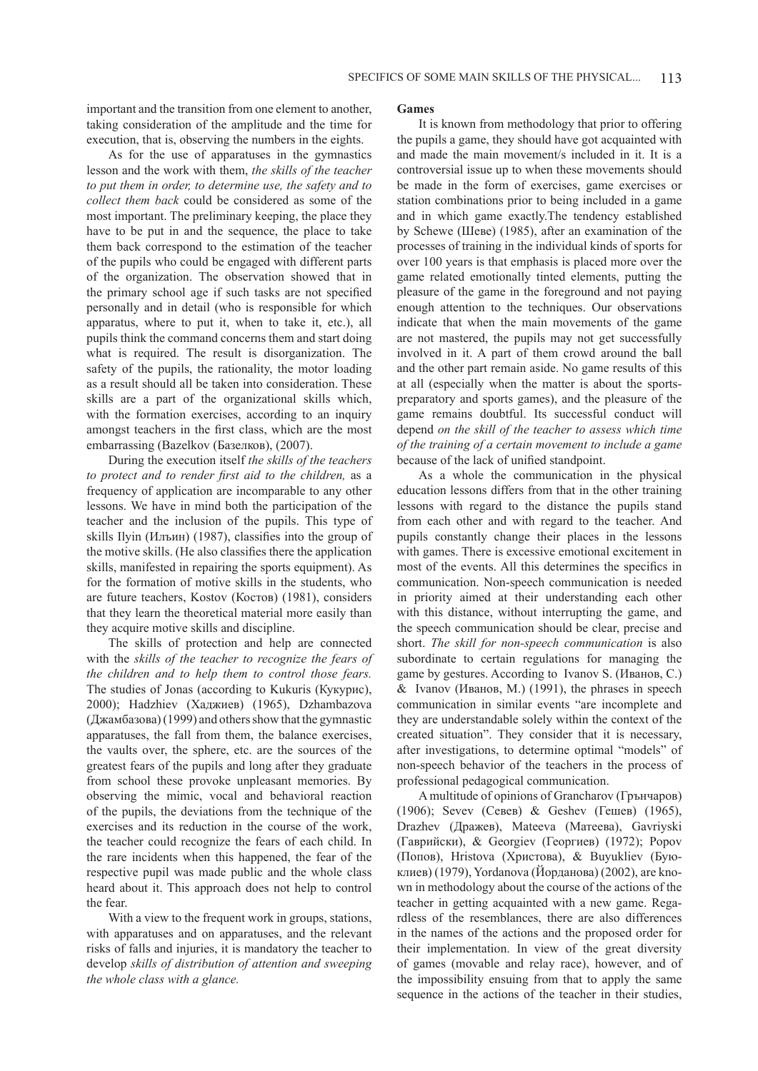important and the transition from one element to another, taking consideration of the amplitude and the time for execution, that is, observing the numbers in the eights.

As for the use of apparatuses in the gymnastics lesson and the work with them, *the skills of the teacher to put them in order, to determine use, the safety and to collect them back* could be considered as some of the most important. The preliminary keeping, the place they have to be put in and the sequence, the place to take them back correspond to the estimation of the teacher of the pupils who could be engaged with different parts of the organization. The observation showed that in the primary school age if such tasks are not specified personally and in detail (who is responsible for which apparatus, where to put it, when to take it, etc.), all pupils think the command concerns them and start doing what is required. The result is disorganization. The safety of the pupils, the rationality, the motor loading as a result should all be taken into consideration. These skills are a part of the organizational skills which, with the formation exercises, according to an inquiry amongst teachers in the first class, which are the most embarrassing (Bazelkov (Базелков), (2007).

During the execution itself *the skills of the teachers to protect and to render first aid to the children,* as a frequency of application are incomparable to any other lessons. We have in mind both the participation of the teacher and the inclusion of the pupils. This type of skills Ilyin (Илъин) (1987), classifies into the group of the motive skills. (He also classifies there the application skills, manifested in repairing the sports equipment). As for the formation of motive skills in the students, who are future teachers, Kostov (Костов) (1981), considers that they learn the theoretical material more easily than they acquire motive skills and discipline.

The skills of protection and help are connected with the *skills of the teacher to recognize the fears of the children and to help them to control those fears.*  The studies of Jonas (according to Kukuris (Кукурис), 2000); Hadzhiev (Хаджиев) (1965), Dzhambazova (Джамбазова) (1999) and others show that the gymnastic apparatuses, the fall from them, the balance exercises, the vaults over, the sphere, etc. are the sources of the greatest fears of the pupils and long after they graduate from school these provoke unpleasant memories. By observing the mimic, vocal and behavioral reaction of the pupils, the deviations from the technique of the exercises and its reduction in the course of the work, the teacher could recognize the fears of each child. In the rare incidents when this happened, the fear of the respective pupil was made public and the whole class heard about it. This approach does not help to control the fear.

With a view to the frequent work in groups, stations, with apparatuses and on apparatuses, and the relevant risks of falls and injuries, it is mandatory the teacher to develop *skills of distribution of attention and sweeping the whole class with a glance.*

#### **Games**

It is known from methodology that prior to offering the pupils a game, they should have got acquainted with and made the main movement/s included in it. It is a controversial issue up to when these movements should be made in the form of exercises, game exercises or station combinations prior to being included in a game and in which game exactly.The tendency established by Schewe (Шеве) (1985), after an examination of the processes of training in the individual kinds of sports for over 100 years is that emphasis is placed more over the game related emotionally tinted elements, putting the pleasure of the game in the foreground and not paying enough attention to the techniques. Our observations indicate that when the main movements of the game are not mastered, the pupils may not get successfully involved in it. A part of them crowd around the ball and the other part remain aside. No game results of this at all (especially when the matter is about the sportspreparatory and sports games), and the pleasure of the game remains doubtful. Its successful conduct will depend *on the skill of the teacher to assess which time of the training of a certain movement to include a game* because of the lack of unified standpoint.

As a whole the communication in the physical education lessons differs from that in the other training lessons with regard to the distance the pupils stand from each other and with regard to the teacher. And pupils constantly change their places in the lessons with games. There is excessive emotional excitement in most of the events. All this determines the specifics in communication. Non-speech communication is needed in priority aimed at their understanding each other with this distance, without interrupting the game, and the speech communication should be clear, precise and short. *The skill for non-speech communication* is also subordinate to certain regulations for managing the game by gestures. According to Ivanov S. (Иванов, С.) & Ivanov (Иванов, М.) (1991), the phrases in speech communication in similar events "are incomplete and they are understandable solely within the context of the created situation". They consider that it is necessary, after investigations, to determine optimal "models" of non-speech behavior of the teachers in the process of professional pedagogical communication.

A multitude of opinions of Grancharov (Грънчаров) (1906); Sevev (Севев) & Geshev (Гешев) (1965), Drazhev (Дражев), Mateeva (Матеева), Gavriyski (Гаврийски), & Georgiev (Георгиев) (1972); Popov (Попов), Hristova (Христова), & Buyukliev (Буюклиев) (1979), Yordanova (Йорданова) (2002), are known in methodology about the course of the actions of the teacher in getting acquainted with a new game. Regardless of the resemblances, there are also differences in the names of the actions and the proposed order for their implementation. In view of the great diversity of games (movable and relay race), however, and of the impossibility ensuing from that to apply the same sequence in the actions of the teacher in their studies,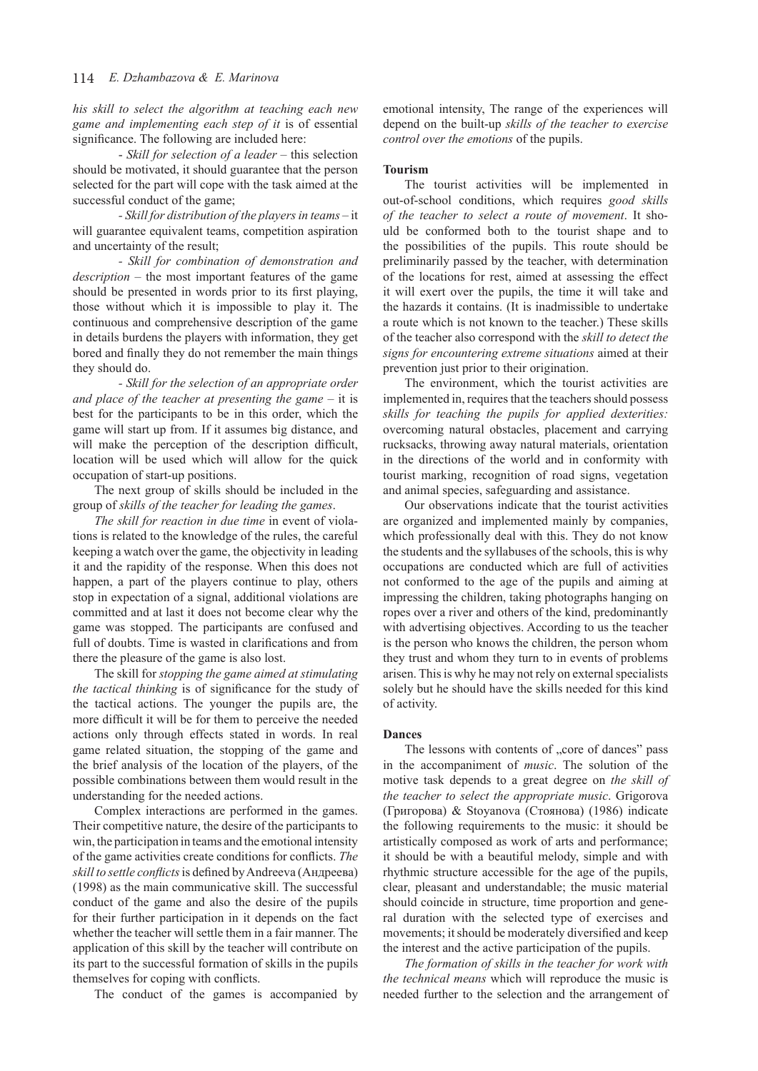*his skill to select the algorithm at teaching each new game and implementing each step of it* is of essential significance. The following are included here:

- *Skill for selection of a leader –* this selection should be motivated, it should guarantee that the person selected for the part will cope with the task aimed at the successful conduct of the game;

*- Skill for distribution of the players in teams –* it will guarantee equivalent teams, competition aspiration and uncertainty of the result;

*- Skill for combination of demonstration and description –* the most important features of the game should be presented in words prior to its first playing, those without which it is impossible to play it. The continuous and comprehensive description of the game in details burdens the players with information, they get bored and finally they do not remember the main things they should do.

*- Skill for the selection of an appropriate order and place of the teacher at presenting the game* – it is best for the participants to be in this order, which the game will start up from. If it assumes big distance, and will make the perception of the description difficult, location will be used which will allow for the quick occupation of start-up positions.

The next group of skills should be included in the group of *skills of the teacher for leading the games*.

*The skill for reaction in due time* in event of violations is related to the knowledge of the rules, the careful keeping a watch over the game, the objectivity in leading it and the rapidity of the response. When this does not happen, a part of the players continue to play, others stop in expectation of a signal, additional violations are committed and at last it does not become clear why the game was stopped. The participants are confused and full of doubts. Time is wasted in clarifications and from there the pleasure of the game is also lost.

The skill for *stopping the game aimed at stimulating the tactical thinking* is of significance for the study of the tactical actions. The younger the pupils are, the more difficult it will be for them to perceive the needed actions only through effects stated in words. In real game related situation, the stopping of the game and the brief analysis of the location of the players, of the possible combinations between them would result in the understanding for the needed actions.

Complex interactions are performed in the games. Their competitive nature, the desire of the participants to win, the participation in teams and the emotional intensity of the game activities create conditions for conflicts. *The skill to settle conflicts* is defined by Andreeva (Андреева) (1998) as the main communicative skill. The successful conduct of the game and also the desire of the pupils for their further participation in it depends on the fact whether the teacher will settle them in a fair manner. The application of this skill by the teacher will contribute on its part to the successful formation of skills in the pupils themselves for coping with conflicts.

The conduct of the games is accompanied by

emotional intensity, The range of the experiences will depend on the built-up *skills of the teacher to exercise control over the emotions* of the pupils.

## **Tourism**

The tourist activities will be implemented in out-of-school conditions, which requires *good skills of the teacher to select a route of movement*. It should be conformed both to the tourist shape and to the possibilities of the pupils. This route should be preliminarily passed by the teacher, with determination of the locations for rest, aimed at assessing the effect it will exert over the pupils, the time it will take and the hazards it contains. (It is inadmissible to undertake a route which is not known to the teacher.) These skills of the teacher also correspond with the *skill to detect the signs for encountering extreme situations* aimed at their prevention just prior to their origination.

The environment, which the tourist activities are implemented in, requires that the teachers should possess *skills for teaching the pupils for applied dexterities:*  overcoming natural obstacles, placement and carrying rucksacks, throwing away natural materials, orientation in the directions of the world and in conformity with tourist marking, recognition of road signs, vegetation and animal species, safeguarding and assistance.

Our observations indicate that the tourist activities are organized and implemented mainly by companies, which professionally deal with this. They do not know the students and the syllabuses of the schools, this is why occupations are conducted which are full of activities not conformed to the age of the pupils and aiming at impressing the children, taking photographs hanging on ropes over a river and others of the kind, predominantly with advertising objectives. According to us the teacher is the person who knows the children, the person whom they trust and whom they turn to in events of problems arisen. This is why he may not rely on external specialists solely but he should have the skills needed for this kind of activity.

## **Dances**

The lessons with contents of "core of dances" pass in the accompaniment of *music*. The solution of the motive task depends to a great degree on *the skill of the teacher to select the appropriate music*. Grigorova (Григорова) & Stoyanova (Стоянова) (1986) indicate the following requirements to the music: it should be artistically composed as work of arts and performance; it should be with a beautiful melody, simple and with rhythmic structure accessible for the age of the pupils, clear, pleasant and understandable; the music material should coincide in structure, time proportion and general duration with the selected type of exercises and movements; it should be moderately diversified and keep the interest and the active participation of the pupils.

*The formation of skills in the teacher for work with the technical means* which will reproduce the music is needed further to the selection and the arrangement of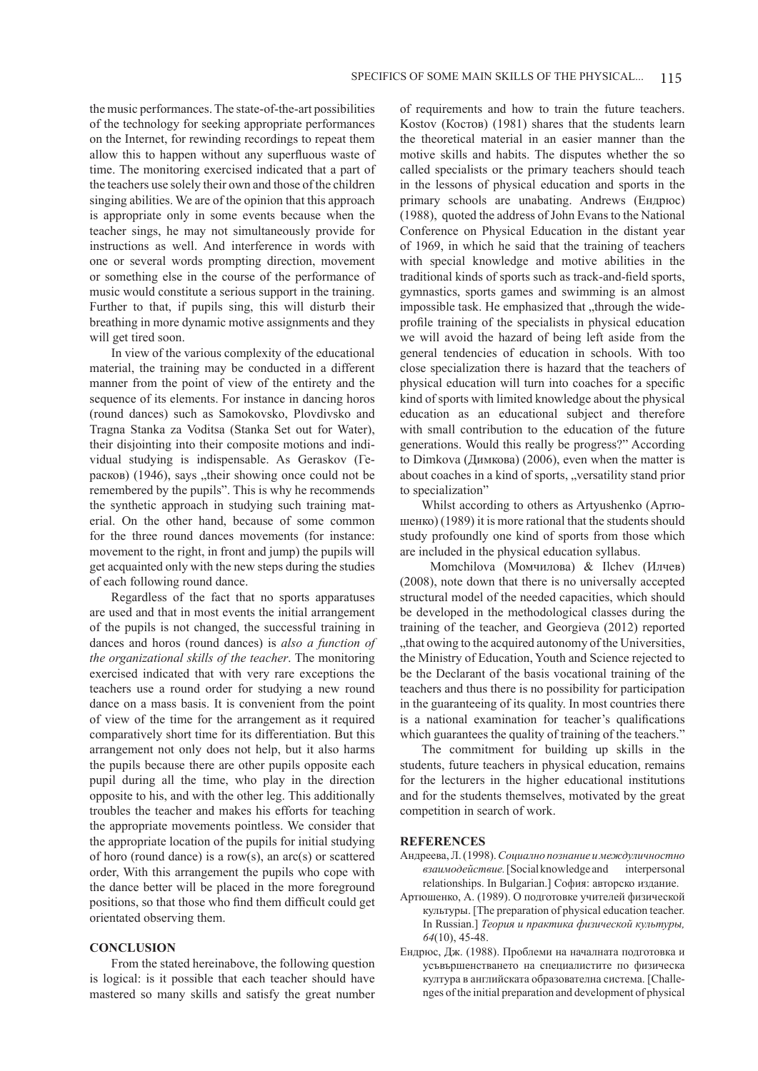the music performances. The state-of-the-art possibilities of the technology for seeking appropriate performances on the Internet, for rewinding recordings to repeat them allow this to happen without any superfluous waste of time. The monitoring exercised indicated that a part of the teachers use solely their own and those of the children singing abilities. We are of the opinion that this approach is appropriate only in some events because when the teacher sings, he may not simultaneously provide for instructions as well. And interference in words with one or several words prompting direction, movement or something else in the course of the performance of music would constitute a serious support in the training. Further to that, if pupils sing, this will disturb their breathing in more dynamic motive assignments and they will get tired soon.

In view of the various complexity of the educational material, the training may be conducted in a different manner from the point of view of the entirety and the sequence of its elements. For instance in dancing horos (round dances) such as Samokovsko, Plovdivsko and Tragna Stanka za Voditsa (Stanka Set out for Water), their disjointing into their composite motions and individual studying is indispensable. As Geraskov (Герасков)  $(1946)$ , says  $\Delta$ , their showing once could not be remembered by the pupils". This is why he recommends the synthetic approach in studying such training material. On the other hand, because of some common for the three round dances movements (for instance: movement to the right, in front and jump) the pupils will get acquainted only with the new steps during the studies of each following round dance.

Regardless of the fact that no sports apparatuses are used and that in most events the initial arrangement of the pupils is not changed, the successful training in dances and horos (round dances) is *also a function of the organizational skills of the teacher*. The monitoring exercised indicated that with very rare exceptions the teachers use a round order for studying a new round dance on a mass basis. It is convenient from the point of view of the time for the arrangement as it required comparatively short time for its differentiation. But this arrangement not only does not help, but it also harms the pupils because there are other pupils opposite each pupil during all the time, who play in the direction opposite to his, and with the other lеg. This additionally troubles the teacher and makes his efforts for teaching the appropriate movements pointless. We consider that the appropriate location of the pupils for initial studying of horo (round dance) is a row(s), an arc(s) or scattered order, With this arrangement the pupils who cope with the dance better will be placed in the more foreground positions, so that those who find them difficult could get orientated observing them.

#### **CONCLUSION**

From the stated hereinabove, the following question is logical: is it possible that each teacher should have mastered so many skills and satisfy the great number of requirements and how to train the future teachers. Kostov (Костов) (1981) shares that the students learn the theoretical material in an easier manner than the motive skills and habits. The disputes whether the so called specialists or the primary teachers should teach in the lessons of physical education and sports in the primary schools are unabating. Andrews (Ендрюс) (1988), quoted the address of John Evans to the National Conference on Physical Education in the distant year of 1969, in which he said that the training of teachers with special knowledge and motive abilities in the traditional kinds of sports such as track-and-field sports, gymnastics, sports games and swimming is an almost impossible task. He emphasized that ..through the wideprofile training of the specialists in physical education we will avoid the hazard of being left aside from the general tendencies of education in schools. With too close specialization there is hazard that the teachers of physical education will turn into coaches for a specific kind of sports with limited knowledge about the physical education as an educational subject and therefore with small contribution to the education of the future generations. Would this really be progress?" According to Dimkova (Димкова) (2006), even when the matter is about coaches in a kind of sports, "versatility stand prior to specialization"

Whilst according to others as Artyushenko (Артюшенко) (1989) it is more rational that the students should study profoundly one kind of sports from those which are included in the physical education syllabus.

Momchilova (Момчилова) & Ilchev (Илчев) (2008), note down that there is no universally accepted structural model of the needed capacities, which should be developed in the methodological classes during the training of the teacher, and Georgieva (2012) reported ", that owing to the acquired autonomy of the Universities, the Ministry of Education, Youth and Science rejected to be the Declarant of the basis vocational training of the teachers and thus there is no possibility for participation in the guaranteeing of its quality. In most countries there is a national examination for teacher's qualifications which guarantees the quality of training of the teachers."

The commitment for building up skills in the students, future teachers in physical education, remains for the lecturers in the higher educational institutions and for the students themselves, motivated by the great competition in search of work.

#### **REFERENCES**

- Андреева, Л. (1998).*Социално познание и междуличностно взаимодействие.* [Socialknowledge and interpersonal relationships. In Bulgarian.] София: авторско издание.
- Артюшенко, А. (1989). О подготовке учителей физической культуры. [The preparation of physical education teacher. In Russian.] *Теория и практика физической культуры, 64*(10), 45-48.
- Ендрюс, Дж. (1988). Проблеми на началната подготовка и усъвършенстването на специалистите по физическа култура в английската образователна система. [Challenges of the initial preparation and development of physical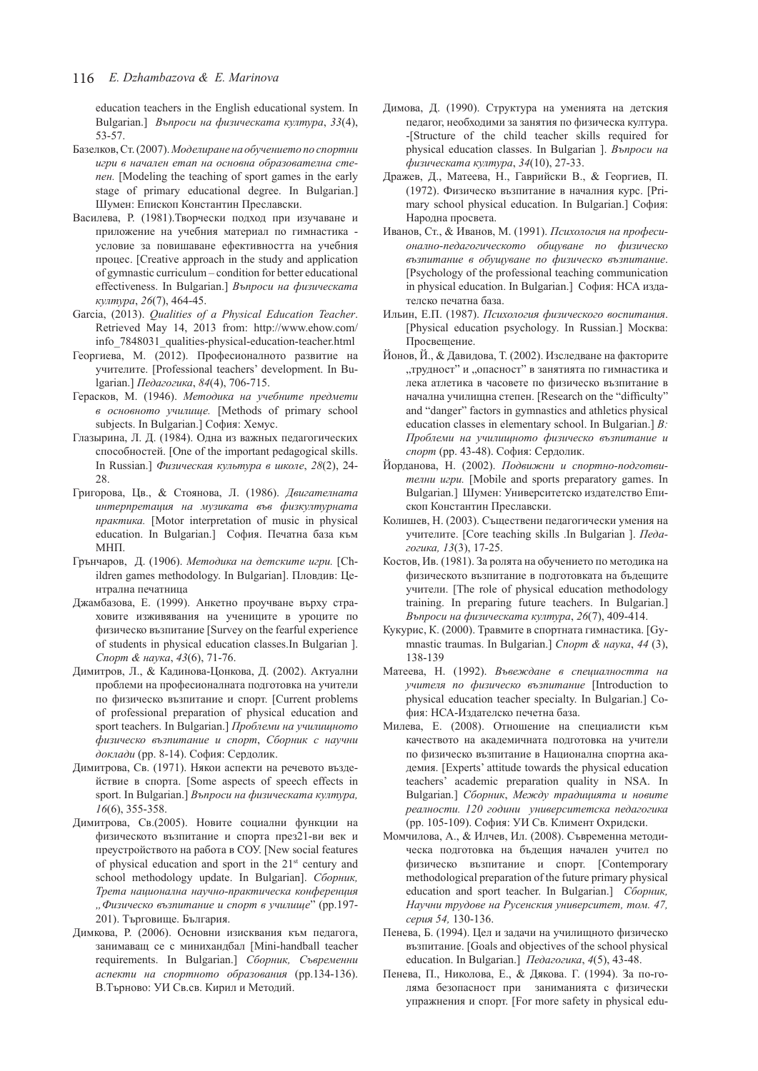education teachers in the English educational system. In Bulgarian.] *Въпроси на физическата култура*, *33*(4), 53-57.

- Базелков, Ст. (2007). *Моделиране на обучението по спортни игри в начален етап на основна образователна степен.* [Modeling the teaching of sport games in the early stage of primary educational degree. In Bulgarian.] Шумен: Епископ Константин Преславски.
- Василева, Р. (1981).Творчески подход при изучаване и приложение на учебния материал по гимнастика условие за повишаване ефективността на учебния процес. [Creative approach in the study and application of gymnastic curriculum – condition for better educational effectiveness. In Bulgarian.] *Въпроси на физическата култура*, *26*(7), 464-45.
- Garcia, (2013). *Qualities of a Physical Education Teacher*. Retrieved May 14, 2013 from: http://www.ehow.com/ info\_7848031\_qualities-physical-education-teacher.html
- Георгиева, М. (2012). Професионалното развитие на учителите. [Professional teachers' development. In Bulgarian.] *Педагогика*, *84*(4), 706-715.
- Герасков, М. (1946). *Методика на учебните предмети в основното училище.* [Methods of primary school subjects. In Bulgarian.] София: Хемус.
- Глазырина, Л. Д. (1984). Одна из важных педагогических способностей. [One of the important pedagogical skills. In Russian.] *Физическая культура в школе*, *28*(2), 24- 28.
- Григорова, Цв., & Стоянова, Л. (1986). *Двигателната интерпретация на музиката във физкултурната практика.* [Motor interpretation of music in physical education. In Bulgarian.] София. Печатна база към МНП.
- Грънчаров, Д. (1906). *Методика на детските игри.* [Children games methodology. In Bulgarian]. Пловдив: Централна печатница
- Джамбазова, Е. (1999). Анкетно проучване върху страховите изживявания на учениците в уроците по физическо възпитание [Survey on the fearful experience of students in physical education classes.In Bulgarian ]. *Спорт & наука*, *43*(6), 71-76.
- Димитров, Л., & Кадинова-Цонкова, Д. (2002). Актуални проблеми на професионалната подготовка на учители по физическо възпитание и спорт. [Current problems of professional preparation of physical education and sport teachers. In Bulgarian.] *Проблеми на училищното физическо възпитание и спорт*, *Сборник с научни доклади* (pp. 8-14). София: Сердолик.
- Димитрова, Св. (1971). Някои аспекти на речевото въздействие в спорта. [Some aspects of speech effects in sport. In Bulgarian.] *Въпроси на физическата култура, 16*(6), 355-358.
- Димитрова, Св.(2005). Новите социални функции на физическото възпитание и спорта през21-ви век и преустройството на работа в СОУ. [New social features of physical education and sport in the 21st century and school methodology update. In Bulgarian]. *Сборник, Трета национална научно-практическа конференция "Физическо възпитание и спорт в училище*" (pp.197- 201). Търговище. България.
- Димкова, Р. (2006). Основни изисквания към педагога, занимаващ се с минихандбал [Mini-handball teacher requirements. In Bulgarian.] *Сборник, Съвременни аспекти на спортното образования* (pp.134-136). В.Търново: УИ Св.св. Кирил и Методий.
- Димова, Д. (1990). Структура на уменията на детския педагог, необходими за занятия по физическа култура. -[Structure of the child teacher skills required for physical education classes. In Bulgarian ]. *Въпроси на физическата култура*, *34*(10), 27-33.
- Дражев, Д., Матеева, Н., Гаврийски В., & Георгиев, П. (1972). Физическо възпитание в началния курс. [Primary school physical education. In Bulgarian.] София: Народна просвета.
- Иванов, Ст., & Иванов, М. (1991). *Психология на професионално-педагогическото общуване по физическо възпитание в обущуване по физическо възпитание*. [Psychology of the professional teaching communication in physical education. In Bulgarian.] София: НСА издателско печатна база.
- Ильин, Е.П. (1987). *Психология физического воспитания*. [Physical education psychology. In Russian.] Москва: Просвещение.
- Йонов, Й., & Давидова, Т. (2002). Изследване на факторите "трудност" и "опасност" в занятията по гимнастика и лека атлетика в часовете по физическо възпитание в начална училищна степен. [Research on the "difficulty" and "danger" factors in gymnastics and athletics physical education classes in elementary school. In Bulgarian.] *В: Проблеми на училищното физическо възпитание и спорт* (pp. 43-48). София: Сердолик.
- Йорданова, Н. (2002). *Подвижни и спортно-подготвителни игри.* [Mobile and sports preparatory games. In Bulgarian.] Шумен: Университетско издателство Епископ Константин Преславски.
- Колишев, Н. (2003). Съществени педагогически умения на учителите. [Core teaching skills .In Bulgarian ]. *Педагогика, 13*(3), 17-25.
- Костов, Ив. (1981). За ролята на обучението по методика на физическото възпитание в подготовката на бъдещите учители. [The role of physical education methodology training. In preparing future teachers. In Bulgarian.] *Въпроси на физическата култура*, *26*(7), 409-414.
- Кукурис, К. (2000). Травмите в спортната гимнастика. [Gymnastic traumas. In Bulgarian.] *Спорт & наука*, *44* (3), 138-139
- Матеева, Н. (1992). *Въвеждане в специалността на учителя по физическо възпитание* [Introduction to physical education teacher specialty. In Bulgarian.] София: НСА-Издателско печетна база.
- Милева, Е. (2008). Отношение на специалисти към качеството на академичната подготовка на учители по физическо възпитание в Национална спортна академия. [Experts' attitude towards the physical education teachers' academic preparation quality in NSA. In Bulgarian.] *Сборник*, *Между традицията и новите реалности. 120 години университетска педагогика* (pp. 105-109). София: УИ Св. Климент Охридски.
- Момчилова, А., & Илчев, Ил. (2008). Съвременна методическа подготовка на бъдещия начален учител по физическо възпитание и спорт. [Contemporary methodological preparation of the future primary physical education and sport teacher. In Bulgarian.] *Сборник, Научни трудове на Русенския университет, том. 47, серия 54,* 130-136.
- Пенева, Б. (1994). Цел и задачи на училищното физическо възпитание. [Goals and objectives of the school physical education. In Bulgarian.] *Педагогика*, *4*(5), 43-48.
- Пенева, П., Николова, Е., & Дякова. Г. (1994). За по-голяма безопасност при заниманията с физически упражнения и спорт. [For more safety in physical edu-